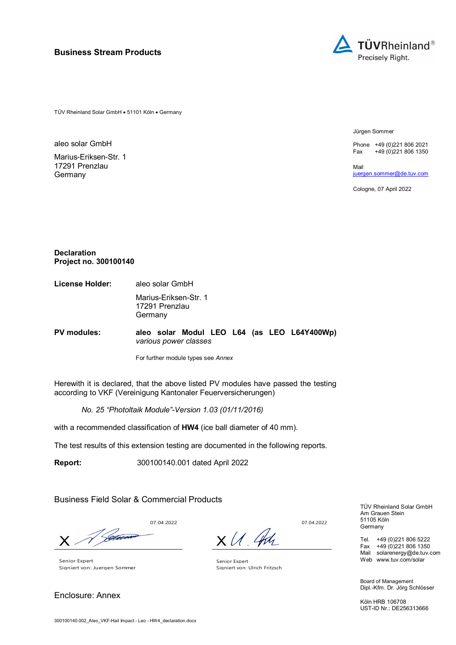

TÜV Rheinland Solar GmbH • 51101 Köln • Germany

aleo solar GmbH

Marius-Eriksen-Str. 1 17291 Prenzlau **Germany** 

Jürgen Sommer

Phone +49 (0)221 806 2021 Fax  $+49(0)2218061350$ 

Mail juergen.sommer@de.tuv.com

Cologne, 07 April 2022

#### **Declaration Project no. 300100140**

**License Holder:** aleo solar GmbH Marius-Eriksen-Str. 1 17291 Prenzlau Germany

**PV modules: aleo solar Modul LEO L64 (as LEO L64Y400Wp)**  *various power classes*

For further module types see *Annex*

Herewith it is declared, that the above listed PV modules have passed the testing according to VKF (Vereinigung Kantonaler Feuerversicherungen)

*No. 25 "Photoltaik Module"-Version 1.03 (01/11/2016)* 

with a recommended classification of **HW4** (ice ball diameter of 40 mm).

The test results of this extension testing are documented in the following reports.

**Report:** 300100140.001 dated April 2022

Business Field Solar & Commercial Products

V. Geboord  $\boldsymbol{\mathsf{X}}$  .

Senior Expert Signiert von: Juergen Sommer

Enclosure: Annex

07.04.2022

 $x$  U. An

07.04.2022

Senior Expert Signiert von: Ulrich Fritzsch

TÜV Rheinland Solar GmbH Am Grauen Stein 51105 Köln Germany

Tel. +49 (0)221 806 5222 Fax +49 (0)221 806 1350 Mail solarenergy@de.tuv.com Web www.tuv.com/solar

Board of Management Dipl.-Kfm. Dr. Jörg Schlösser

Köln HRB 106708 UST-ID Nr.: DE256313666

300100140.002\_Aleo\_VKF-Hail Impact - Leo - HW4\_declaration.docx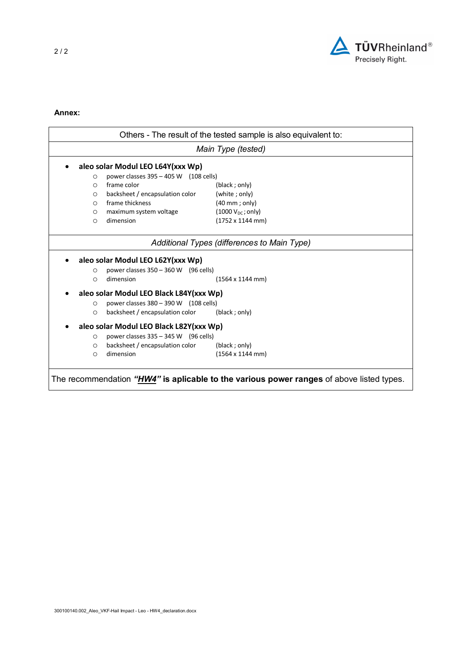

## **Annex:**

|                                                                                                   | Others - The result of the tested sample is also equivalent to:<br>Main Type (tested) |                                 |  |  |  |
|---------------------------------------------------------------------------------------------------|---------------------------------------------------------------------------------------|---------------------------------|--|--|--|
|                                                                                                   |                                                                                       |                                 |  |  |  |
| aleo solar Modul LEO L64Y(xxx Wp)                                                                 |                                                                                       |                                 |  |  |  |
| O                                                                                                 | power classes $395 - 405$ W (108 cells)                                               |                                 |  |  |  |
| $\circ$                                                                                           | frame color                                                                           | (black; only)                   |  |  |  |
| $\circ$                                                                                           | backsheet / encapsulation color                                                       | (white; only)                   |  |  |  |
| $\circ$                                                                                           | frame thickness                                                                       | $(40 \text{ mm}$ ; only)        |  |  |  |
| $\circ$                                                                                           | maximum system voltage                                                                | $(1000 V_{DC}; only)$           |  |  |  |
| O                                                                                                 | dimension                                                                             | $(1752 \times 1144 \text{ mm})$ |  |  |  |
|                                                                                                   | Additional Types (differences to Main Type)                                           |                                 |  |  |  |
|                                                                                                   | aleo solar Modul LEO L62Y(xxx Wp)                                                     |                                 |  |  |  |
| O                                                                                                 | power classes $350 - 360$ W (96 cells)                                                |                                 |  |  |  |
| $\circ$                                                                                           | dimension                                                                             | $(1564 \times 1144 \text{ mm})$ |  |  |  |
|                                                                                                   | aleo solar Modul LEO Black L84Y(xxx Wp)                                               |                                 |  |  |  |
| $\circ$                                                                                           | power classes $380 - 390$ W (108 cells)                                               |                                 |  |  |  |
| O                                                                                                 | backsheet / encapsulation color                                                       | (black ; only)                  |  |  |  |
|                                                                                                   | aleo solar Modul LEO Black L82Y(xxx Wp)                                               |                                 |  |  |  |
| $\circ$                                                                                           | power classes $335 - 345$ W (96 cells)                                                |                                 |  |  |  |
| $\circ$                                                                                           | backsheet / encapsulation color                                                       | (black; only)                   |  |  |  |
| O                                                                                                 | dimension                                                                             | $(1564 \times 1144 \text{ mm})$ |  |  |  |
|                                                                                                   |                                                                                       |                                 |  |  |  |
| The recommendation " <i>HW4</i> " is aplicable to the various power ranges of above listed types. |                                                                                       |                                 |  |  |  |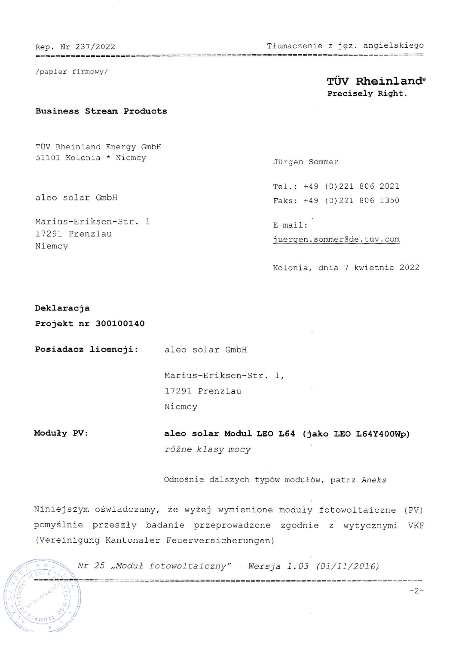Rep. Nr 237 /2022 Tłumaczenie z jęz. angieLSkieqo

/papler fi rmowy/

# TÜV Rheinland® Precisely Right.

#### Business strean products

TUV Rheinland Energy GmbH 51101 Kolonia \* Niemcy

aleo Solar GmbH

Marius-Eriksen-Str. 1 17291 Prenzlau Niemcy

## Jürgen Sommer

Tel.: +49 (0)221 806 2021 Faks: +49 (0)221 806 1350

 $E-mail:$ j uergen . sonmerGde. tuv. com

Kolonia, dnia 7 kwietnia 2022

#### Deklaracja

the company can be a set of the party than

Projekt nr 30O100].40

Posiadacz licencji: aleo solar GmbH

Marius-Eriksen-Str. 1, 17291 Prenzlau Niemcy

aleo solar Modul LEO L64 (jako LEO L64Y400Wp) różne kJasy mocy Moduły PV:

Odnośnie dalsżych typów modułów, patrz Anełs

Niniejszym oświadczamy, że wyżej wymienione moduły fotowoltaiczne (PV) pomyślnie przeszły badanie przeprowadzone zgodnie z wytycznymi VKF (Vereinigung Kantonaler Feuerversicherungen)

 $\text{Nr 25 }$  ,Moduł fotowoltaiczny" - Wersja 1.03 (01/11/2016)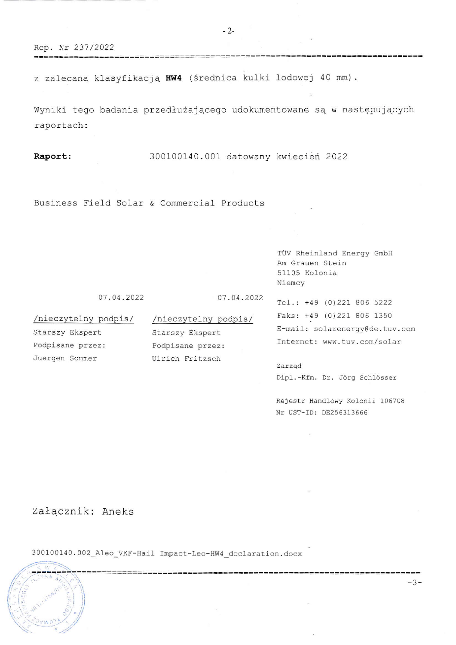Rep. Nr 237/2022

z zalecaną klasyfikacją HW4 (średnica kulki lodowej 40 mm).

\_\_\_\_\_\_\_\_\_\_\_\_\_\_\_\_\_\_\_\_\_\_\_\_\_

Wyniki tego badania przedłużającego udokumentowane są w następujących raportach:

Raport:

300100140.001 datowany kwiecień 2022

Business Field Solar & Commercial Products

TÜV Rheinland Energy GmbH Am Grauen Stein 51105 Kolonia Niemcy

07.04.2022

07.04.2022

/nieczytelny podpis/ Starszy Ekspert Podpisane przez: Juergen Sommer

/nieczytelny podpis/ Starszy Ekspert Podpisane przez: Ulrich Fritzsch

Tel.: +49 (0)221 806 5222 Faks: +49 (0)221 806 1350 E-mail: solarenergy@de.tuv.com Internet: www.tuv.com/solar

Zarząd Dipl.-Kfm. Dr. Jörg Schlösser

Rejestr Handlowy Kolonii 106708 Nr UST-ID: DE256313666

Załącznik: Aneks

300100140.002\_Aleo\_VKF-Hail Impact-Leo-HW4\_declaration.docx